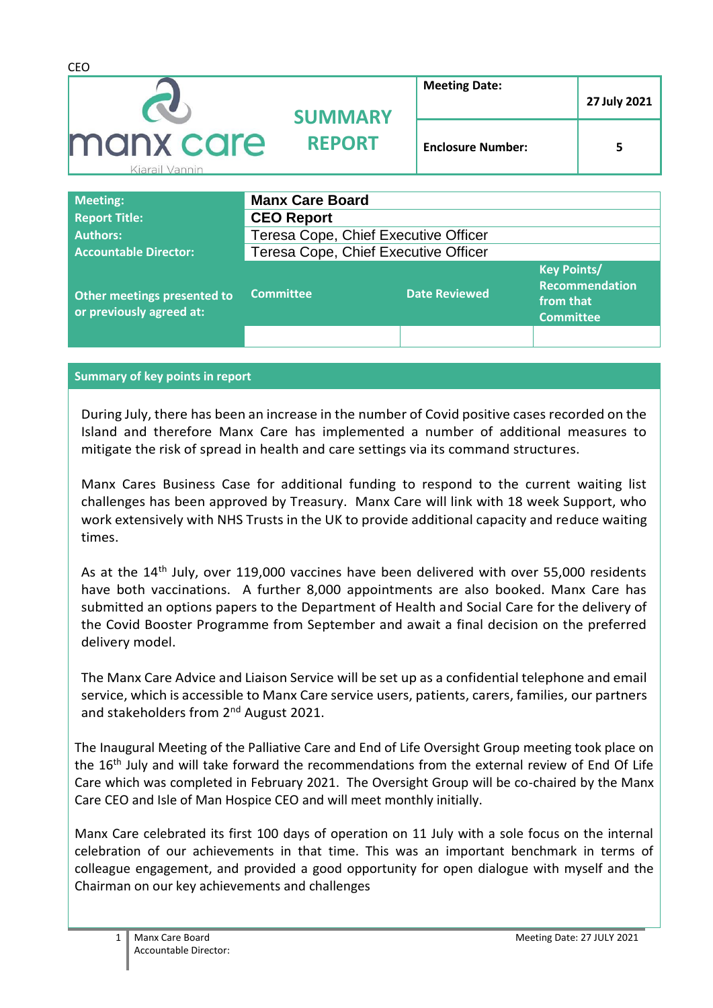| <b>CEO</b>                  |                        |                          |              |
|-----------------------------|------------------------|--------------------------|--------------|
|                             | <b>SUMMARY</b>         | <b>Meeting Date:</b>     | 27 July 2021 |
| manx care<br>Kiarail Vannin | <b>REPORT</b>          | <b>Enclosure Number:</b> | 5            |
| <b>Meeting:</b>             | <b>Manx Care Board</b> |                          |              |
| <b>Report Title:</b>        | <b>CEO Report</b>      |                          |              |

| <b>Authors:</b>                                         | Teresa Cope, Chief Executive Officer |                      |                                                                              |
|---------------------------------------------------------|--------------------------------------|----------------------|------------------------------------------------------------------------------|
| <b>Accountable Director:</b>                            | Teresa Cope, Chief Executive Officer |                      |                                                                              |
| Other meetings presented to<br>or previously agreed at: | <b>Committee</b>                     | <b>Date Reviewed</b> | <b>Key Points/</b><br><b>Recommendation</b><br>from that<br><b>Committee</b> |
|                                                         |                                      |                      |                                                                              |

#### **Summary of key points in report**

During July, there has been an increase in the number of Covid positive cases recorded on the Island and therefore Manx Care has implemented a number of additional measures to mitigate the risk of spread in health and care settings via its command structures.

Manx Cares Business Case for additional funding to respond to the current waiting list challenges has been approved by Treasury. Manx Care will link with 18 week Support, who work extensively with NHS Trusts in the UK to provide additional capacity and reduce waiting times.

As at the 14<sup>th</sup> July, over 119,000 vaccines have been delivered with over 55,000 residents have both vaccinations. A further 8,000 appointments are also booked. Manx Care has submitted an options papers to the Department of Health and Social Care for the delivery of the Covid Booster Programme from September and await a final decision on the preferred delivery model.

The Manx Care Advice and Liaison Service will be set up as a confidential telephone and email service, which is accessible to Manx Care service users, patients, carers, families, our partners and stakeholders from 2<sup>nd</sup> August 2021.

The Inaugural Meeting of the Palliative Care and End of Life Oversight Group meeting took place on the 16<sup>th</sup> July and will take forward the recommendations from the external review of End Of Life Care which was completed in February 2021. The Oversight Group will be co-chaired by the Manx Care CEO and Isle of Man Hospice CEO and will meet monthly initially.

Manx Care celebrated its first 100 days of operation on 11 July with a sole focus on the internal celebration of our achievements in that time. This was an important benchmark in terms of colleague engagement, and provided a good opportunity for open dialogue with myself and the Chairman on our key achievements and challenges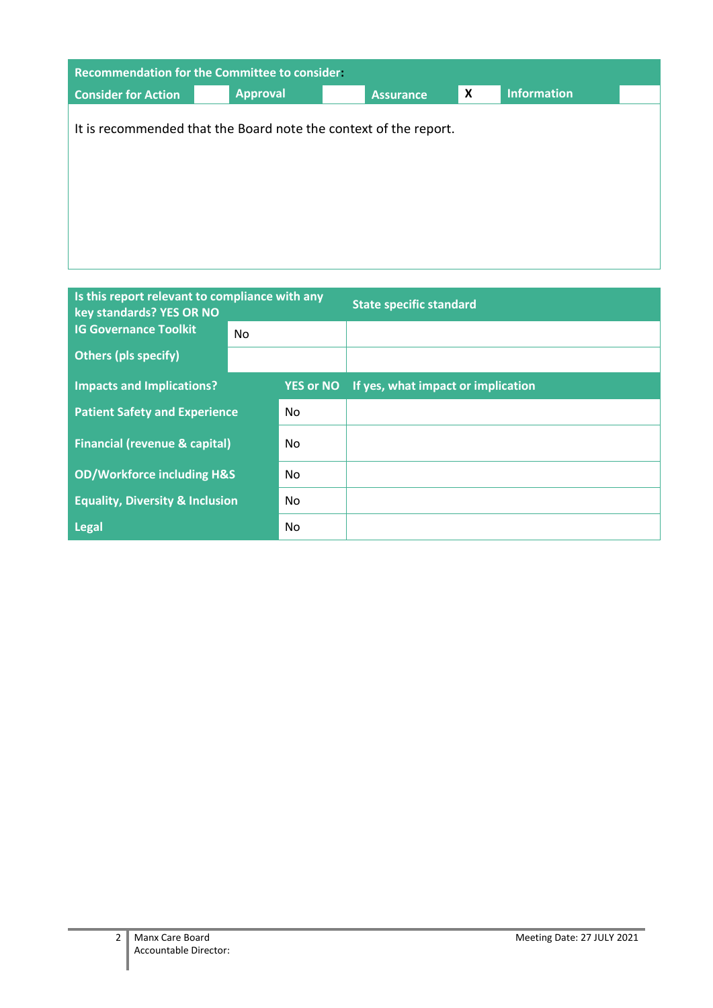| <b>Recommendation for the Committee to consider.</b> |                                                                  |                  |                           |             |  |
|------------------------------------------------------|------------------------------------------------------------------|------------------|---------------------------|-------------|--|
| <b>Consider for Action</b>                           | <b>Approval</b>                                                  | <b>Assurance</b> | $\boldsymbol{\mathsf{x}}$ | Information |  |
|                                                      | It is recommended that the Board note the context of the report. |                  |                           |             |  |
|                                                      |                                                                  |                  |                           |             |  |
|                                                      |                                                                  |                  |                           |             |  |
|                                                      |                                                                  |                  |                           |             |  |

| Is this report relevant to compliance with any<br>key standards? YES OR NO |    |                  | <b>State specific standard</b>     |
|----------------------------------------------------------------------------|----|------------------|------------------------------------|
| <b>IG Governance Toolkit</b>                                               | No |                  |                                    |
| <b>Others (pls specify)</b>                                                |    |                  |                                    |
| <b>Impacts and Implications?</b>                                           |    | <b>YES or NO</b> | If yes, what impact or implication |
| <b>Patient Safety and Experience</b>                                       |    | No.              |                                    |
| <b>Financial (revenue &amp; capital)</b>                                   |    | No.              |                                    |
| <b>OD/Workforce including H&amp;S</b>                                      |    | No               |                                    |
| <b>Equality, Diversity &amp; Inclusion</b>                                 |    | No               |                                    |
| <b>Legal</b>                                                               |    | No.              |                                    |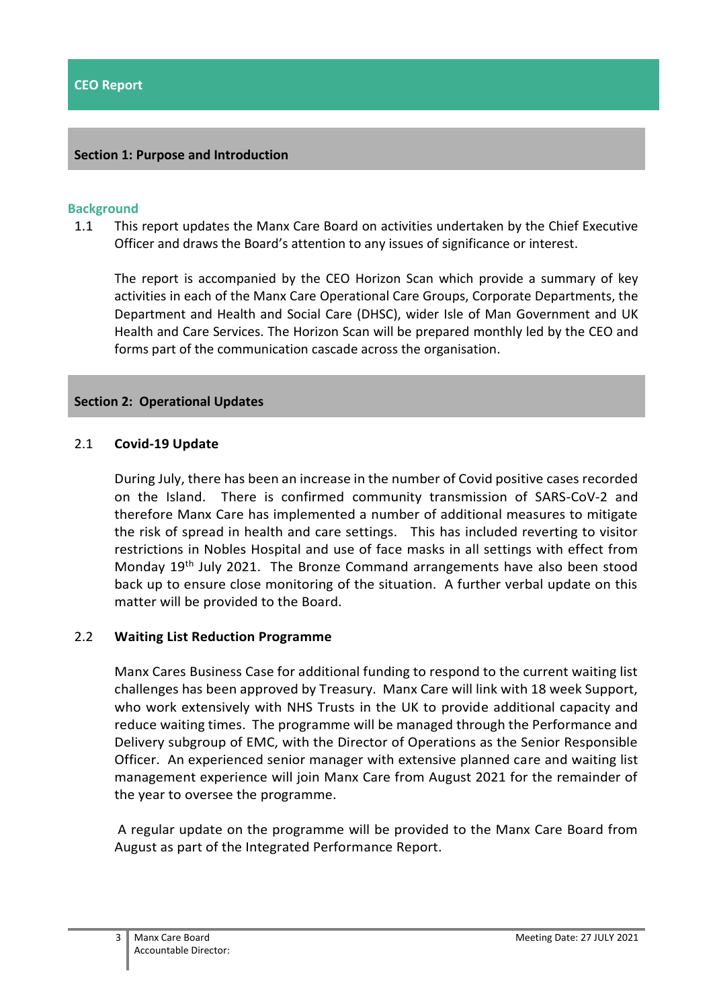# **Section 1: Purpose and Introduction**

#### **Background**

1.1 This report updates the Manx Care Board on activities undertaken by the Chief Executive Officer and draws the Board's attention to any issues of significance or interest.

The report is accompanied by the CEO Horizon Scan which provide a summary of key activities in each of the Manx Care Operational Care Groups, Corporate Departments, the Department and Health and Social Care (DHSC), wider Isle of Man Government and UK Health and Care Services. The Horizon Scan will be prepared monthly led by the CEO and forms part of the communication cascade across the organisation.

#### **Section 2: Operational Updates**

#### 2.1 **Covid-19 Update**

During July, there has been an increase in the number of Covid positive cases recorded on the Island. There is confirmed community transmission of SARS-CoV-2 and therefore Manx Care has implemented a number of additional measures to mitigate the risk of spread in health and care settings. This has included reverting to visitor restrictions in Nobles Hospital and use of face masks in all settings with effect from Monday 19th July 2021. The Bronze Command arrangements have also been stood back up to ensure close monitoring of the situation. A further verbal update on this matter will be provided to the Board.

#### 2.2 **Waiting List Reduction Programme**

Manx Cares Business Case for additional funding to respond to the current waiting list challenges has been approved by Treasury. Manx Care will link with 18 week Support, who work extensively with NHS Trusts in the UK to provide additional capacity and reduce waiting times. The programme will be managed through the Performance and Delivery subgroup of EMC, with the Director of Operations as the Senior Responsible Officer. An experienced senior manager with extensive planned care and waiting list management experience will join Manx Care from August 2021 for the remainder of the year to oversee the programme.

A regular update on the programme will be provided to the Manx Care Board from August as part of the Integrated Performance Report.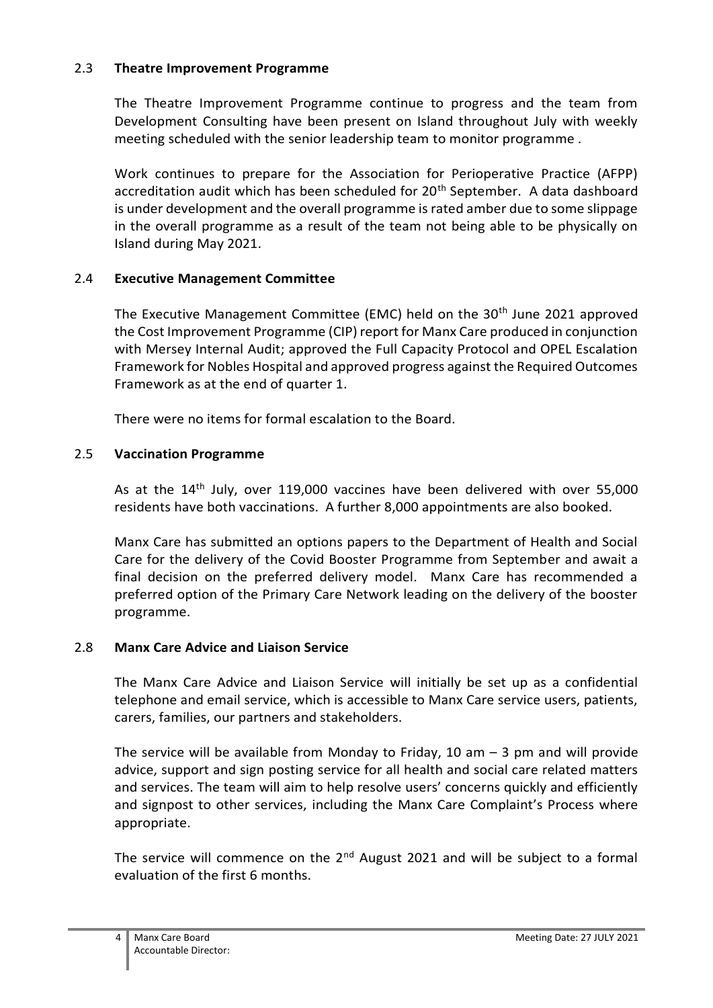# 2.3 **Theatre Improvement Programme**

The Theatre Improvement Programme continue to progress and the team from Development Consulting have been present on Island throughout July with weekly meeting scheduled with the senior leadership team to monitor programme .

Work continues to prepare for the Association for Perioperative Practice (AFPP) accreditation audit which has been scheduled for 20<sup>th</sup> September. A data dashboard is under development and the overall programme is rated amber due to some slippage in the overall programme as a result of the team not being able to be physically on Island during May 2021.

# 2.4 **Executive Management Committee**

The Executive Management Committee (EMC) held on the 30<sup>th</sup> June 2021 approved the Cost Improvement Programme (CIP) report for Manx Care produced in conjunction with Mersey Internal Audit; approved the Full Capacity Protocol and OPEL Escalation Framework for Nobles Hospital and approved progress against the Required Outcomes Framework as at the end of quarter 1.

There were no items for formal escalation to the Board.

# 2.5 **Vaccination Programme**

As at the 14<sup>th</sup> July, over 119,000 vaccines have been delivered with over 55,000 residents have both vaccinations. A further 8,000 appointments are also booked.

Manx Care has submitted an options papers to the Department of Health and Social Care for the delivery of the Covid Booster Programme from September and await a final decision on the preferred delivery model. Manx Care has recommended a preferred option of the Primary Care Network leading on the delivery of the booster programme.

# 2.8 **Manx Care Advice and Liaison Service**

The Manx Care Advice and Liaison Service will initially be set up as a confidential telephone and email service, which is accessible to Manx Care service users, patients, carers, families, our partners and stakeholders.

The service will be available from Monday to Friday, 10 am  $-$  3 pm and will provide advice, support and sign posting service for all health and social care related matters and services. The team will aim to help resolve users' concerns quickly and efficiently and signpost to other services, including the Manx Care Complaint's Process where appropriate.

The service will commence on the  $2^{nd}$  August 2021 and will be subject to a formal evaluation of the first 6 months.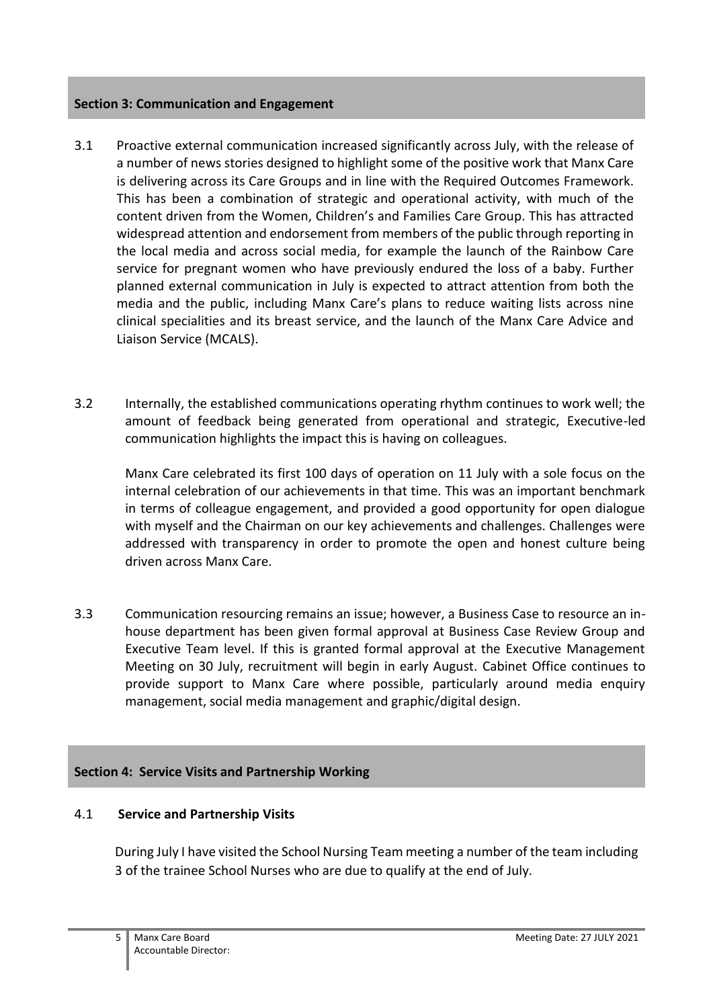# **Section 3: Communication and Engagement**

- 3.1 Proactive external communication increased significantly across July, with the release of a number of news stories designed to highlight some of the positive work that Manx Care is delivering across its Care Groups and in line with the Required Outcomes Framework. This has been a combination of strategic and operational activity, with much of the content driven from the Women, Children's and Families Care Group. This has attracted widespread attention and endorsement from members of the public through reporting in the local media and across social media, for example the launch of the Rainbow Care service for pregnant women who have previously endured the loss of a baby. Further planned external communication in July is expected to attract attention from both the media and the public, including Manx Care's plans to reduce waiting lists across nine clinical specialities and its breast service, and the launch of the Manx Care Advice and Liaison Service (MCALS).
- 3.2 Internally, the established communications operating rhythm continues to work well; the amount of feedback being generated from operational and strategic, Executive-led communication highlights the impact this is having on colleagues.

Manx Care celebrated its first 100 days of operation on 11 July with a sole focus on the internal celebration of our achievements in that time. This was an important benchmark in terms of colleague engagement, and provided a good opportunity for open dialogue with myself and the Chairman on our key achievements and challenges. Challenges were addressed with transparency in order to promote the open and honest culture being driven across Manx Care.

3.3 Communication resourcing remains an issue; however, a Business Case to resource an inhouse department has been given formal approval at Business Case Review Group and Executive Team level. If this is granted formal approval at the Executive Management Meeting on 30 July, recruitment will begin in early August. Cabinet Office continues to provide support to Manx Care where possible, particularly around media enquiry management, social media management and graphic/digital design.

# **Section 4: Service Visits and Partnership Working**

# 4.1 **Service and Partnership Visits**

During July I have visited the School Nursing Team meeting a number of the team including 3 of the trainee School Nurses who are due to qualify at the end of July.